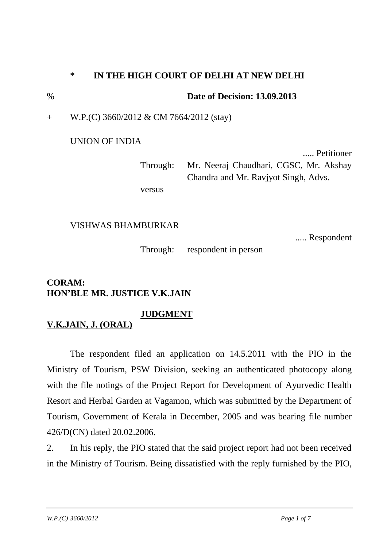## \* **IN THE HIGH COURT OF DELHI AT NEW DELHI**

% **Date of Decision: 13.09.2013**

+ W.P.(C) 3660/2012 & CM 7664/2012 (stay)

UNION OF INDIA

..... Petitioner Through: Mr. Neeraj Chaudhari, CGSC, Mr. Akshay Chandra and Mr. Ravjyot Singh, Advs.

versus

## VISHWAS BHAMBURKAR

..... Respondent

Through: respondent in person

## **CORAM: HON'BLE MR. JUSTICE V.K.JAIN**

## **JUDGMENT**

**V.K.JAIN, J. (ORAL)**

The respondent filed an application on 14.5.2011 with the PIO in the Ministry of Tourism, PSW Division, seeking an authenticated photocopy along with the file notings of the Project Report for Development of Ayurvedic Health Resort and Herbal Garden at Vagamon, which was submitted by the Department of Tourism, Government of Kerala in December, 2005 and was bearing file number 426/D(CN) dated 20.02.2006.

2. In his reply, the PIO stated that the said project report had not been received in the Ministry of Tourism. Being dissatisfied with the reply furnished by the PIO,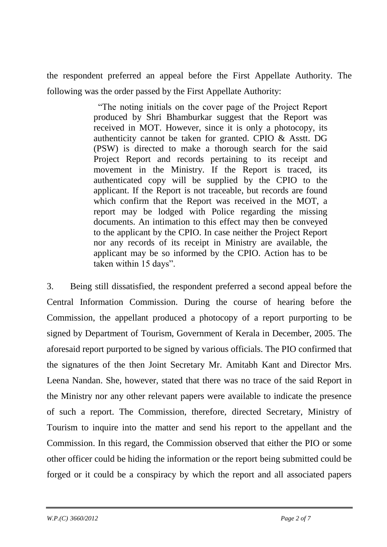the respondent preferred an appeal before the First Appellate Authority. The following was the order passed by the First Appellate Authority:

> "The noting initials on the cover page of the Project Report produced by Shri Bhamburkar suggest that the Report was received in MOT. However, since it is only a photocopy, its authenticity cannot be taken for granted. CPIO & Asstt. DG (PSW) is directed to make a thorough search for the said Project Report and records pertaining to its receipt and movement in the Ministry. If the Report is traced, its authenticated copy will be supplied by the CPIO to the applicant. If the Report is not traceable, but records are found which confirm that the Report was received in the MOT, a report may be lodged with Police regarding the missing documents. An intimation to this effect may then be conveyed to the applicant by the CPIO. In case neither the Project Report nor any records of its receipt in Ministry are available, the applicant may be so informed by the CPIO. Action has to be taken within 15 days".

3. Being still dissatisfied, the respondent preferred a second appeal before the Central Information Commission. During the course of hearing before the Commission, the appellant produced a photocopy of a report purporting to be signed by Department of Tourism, Government of Kerala in December, 2005. The aforesaid report purported to be signed by various officials. The PIO confirmed that the signatures of the then Joint Secretary Mr. Amitabh Kant and Director Mrs. Leena Nandan. She, however, stated that there was no trace of the said Report in the Ministry nor any other relevant papers were available to indicate the presence of such a report. The Commission, therefore, directed Secretary, Ministry of Tourism to inquire into the matter and send his report to the appellant and the Commission. In this regard, the Commission observed that either the PIO or some other officer could be hiding the information or the report being submitted could be forged or it could be a conspiracy by which the report and all associated papers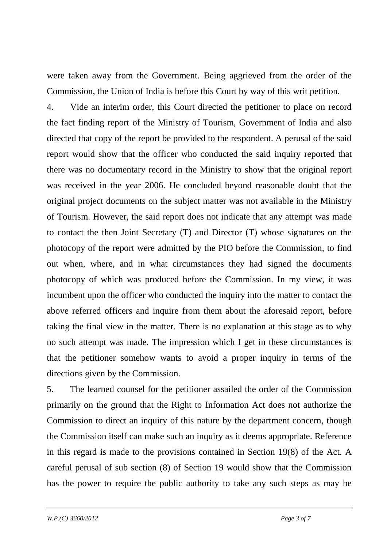were taken away from the Government. Being aggrieved from the order of the Commission, the Union of India is before this Court by way of this writ petition.

4. Vide an interim order, this Court directed the petitioner to place on record the fact finding report of the Ministry of Tourism, Government of India and also directed that copy of the report be provided to the respondent. A perusal of the said report would show that the officer who conducted the said inquiry reported that there was no documentary record in the Ministry to show that the original report was received in the year 2006. He concluded beyond reasonable doubt that the original project documents on the subject matter was not available in the Ministry of Tourism. However, the said report does not indicate that any attempt was made to contact the then Joint Secretary (T) and Director (T) whose signatures on the photocopy of the report were admitted by the PIO before the Commission, to find out when, where, and in what circumstances they had signed the documents photocopy of which was produced before the Commission. In my view, it was incumbent upon the officer who conducted the inquiry into the matter to contact the above referred officers and inquire from them about the aforesaid report, before taking the final view in the matter. There is no explanation at this stage as to why no such attempt was made. The impression which I get in these circumstances is that the petitioner somehow wants to avoid a proper inquiry in terms of the directions given by the Commission.

5. The learned counsel for the petitioner assailed the order of the Commission primarily on the ground that the Right to Information Act does not authorize the Commission to direct an inquiry of this nature by the department concern, though the Commission itself can make such an inquiry as it deems appropriate. Reference in this regard is made to the provisions contained in Section 19(8) of the Act. A careful perusal of sub section (8) of Section 19 would show that the Commission has the power to require the public authority to take any such steps as may be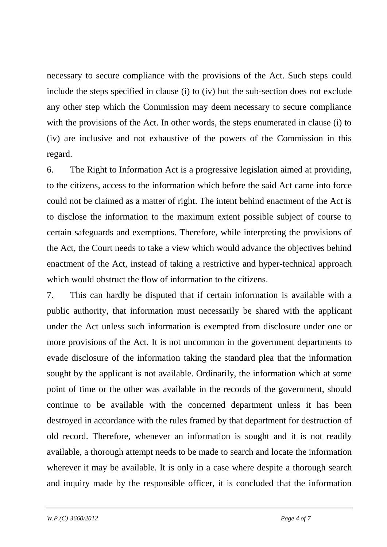necessary to secure compliance with the provisions of the Act. Such steps could include the steps specified in clause (i) to (iv) but the sub-section does not exclude any other step which the Commission may deem necessary to secure compliance with the provisions of the Act. In other words, the steps enumerated in clause (i) to (iv) are inclusive and not exhaustive of the powers of the Commission in this regard.

6. The Right to Information Act is a progressive legislation aimed at providing, to the citizens, access to the information which before the said Act came into force could not be claimed as a matter of right. The intent behind enactment of the Act is to disclose the information to the maximum extent possible subject of course to certain safeguards and exemptions. Therefore, while interpreting the provisions of the Act, the Court needs to take a view which would advance the objectives behind enactment of the Act, instead of taking a restrictive and hyper-technical approach which would obstruct the flow of information to the citizens.

7. This can hardly be disputed that if certain information is available with a public authority, that information must necessarily be shared with the applicant under the Act unless such information is exempted from disclosure under one or more provisions of the Act. It is not uncommon in the government departments to evade disclosure of the information taking the standard plea that the information sought by the applicant is not available. Ordinarily, the information which at some point of time or the other was available in the records of the government, should continue to be available with the concerned department unless it has been destroyed in accordance with the rules framed by that department for destruction of old record. Therefore, whenever an information is sought and it is not readily available, a thorough attempt needs to be made to search and locate the information wherever it may be available. It is only in a case where despite a thorough search and inquiry made by the responsible officer, it is concluded that the information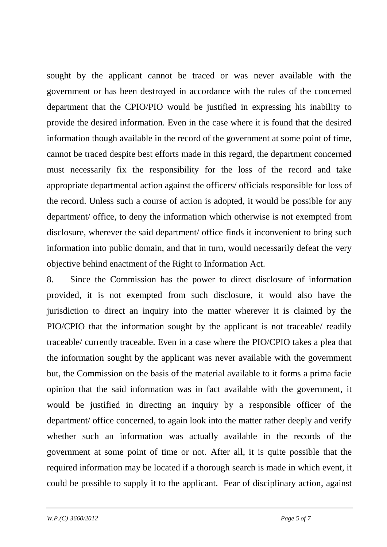sought by the applicant cannot be traced or was never available with the government or has been destroyed in accordance with the rules of the concerned department that the CPIO/PIO would be justified in expressing his inability to provide the desired information. Even in the case where it is found that the desired information though available in the record of the government at some point of time, cannot be traced despite best efforts made in this regard, the department concerned must necessarily fix the responsibility for the loss of the record and take appropriate departmental action against the officers/ officials responsible for loss of the record. Unless such a course of action is adopted, it would be possible for any department/ office, to deny the information which otherwise is not exempted from disclosure, wherever the said department/ office finds it inconvenient to bring such information into public domain, and that in turn, would necessarily defeat the very objective behind enactment of the Right to Information Act.

8. Since the Commission has the power to direct disclosure of information provided, it is not exempted from such disclosure, it would also have the jurisdiction to direct an inquiry into the matter wherever it is claimed by the PIO/CPIO that the information sought by the applicant is not traceable/ readily traceable/ currently traceable. Even in a case where the PIO/CPIO takes a plea that the information sought by the applicant was never available with the government but, the Commission on the basis of the material available to it forms a prima facie opinion that the said information was in fact available with the government, it would be justified in directing an inquiry by a responsible officer of the department/ office concerned, to again look into the matter rather deeply and verify whether such an information was actually available in the records of the government at some point of time or not. After all, it is quite possible that the required information may be located if a thorough search is made in which event, it could be possible to supply it to the applicant. Fear of disciplinary action, against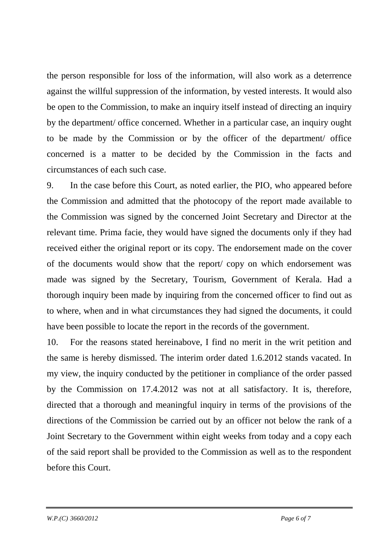the person responsible for loss of the information, will also work as a deterrence against the willful suppression of the information, by vested interests. It would also be open to the Commission, to make an inquiry itself instead of directing an inquiry by the department/ office concerned. Whether in a particular case, an inquiry ought to be made by the Commission or by the officer of the department/ office concerned is a matter to be decided by the Commission in the facts and circumstances of each such case.

9. In the case before this Court, as noted earlier, the PIO, who appeared before the Commission and admitted that the photocopy of the report made available to the Commission was signed by the concerned Joint Secretary and Director at the relevant time. Prima facie, they would have signed the documents only if they had received either the original report or its copy. The endorsement made on the cover of the documents would show that the report/ copy on which endorsement was made was signed by the Secretary, Tourism, Government of Kerala. Had a thorough inquiry been made by inquiring from the concerned officer to find out as to where, when and in what circumstances they had signed the documents, it could have been possible to locate the report in the records of the government.

10. For the reasons stated hereinabove, I find no merit in the writ petition and the same is hereby dismissed. The interim order dated 1.6.2012 stands vacated. In my view, the inquiry conducted by the petitioner in compliance of the order passed by the Commission on 17.4.2012 was not at all satisfactory. It is, therefore, directed that a thorough and meaningful inquiry in terms of the provisions of the directions of the Commission be carried out by an officer not below the rank of a Joint Secretary to the Government within eight weeks from today and a copy each of the said report shall be provided to the Commission as well as to the respondent before this Court.